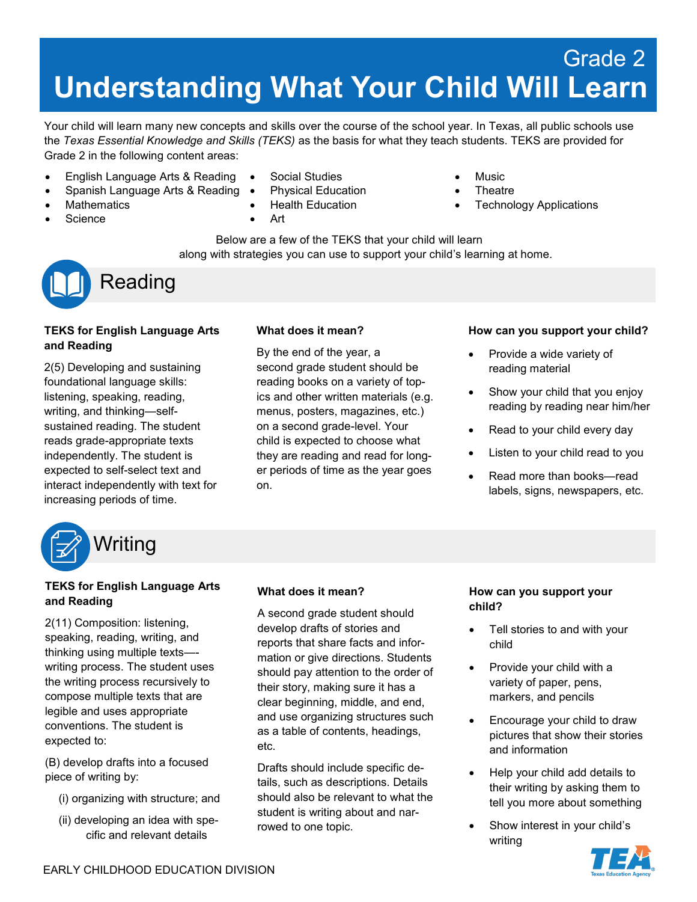# **Understanding What Your Child Will Learn** Grade 2

Your child will learn many new concepts and skills over the course of the school year. In Texas, all public schools use the *Texas Essential Knowledge and Skills (TEKS)* as the basis for what they teach students. TEKS are provided for Grade 2 in the following content areas:

- English Language Arts & Reading
- Spanish Language Arts & Reading
- **Mathematics**
- **Science**
- Social Studies
- Physical Education
- Health Education
- Art
- Music
- **Theatre**
- Technology Applications

Below are a few of the TEKS that your child will learn along with strategies you can use to support your child's learning at home.



## **TEKS for English Language Arts and Reading**

2(5) Developing and sustaining foundational language skills: listening, speaking, reading, writing, and thinking—selfsustained reading. The student reads grade-appropriate texts independently. The student is expected to self-select text and interact independently with text for increasing periods of time.

## **What does it mean?**

By the end of the year, a second grade student should be reading books on a variety of topics and other written materials (e.g. menus, posters, magazines, etc.) on a second grade-level. Your child is expected to choose what they are reading and read for longer periods of time as the year goes on.

#### **How can you support your child?**

- Provide a wide variety of reading material
- Show your child that you enjoy reading by reading near him/her
- Read to your child every day
- Listen to your child read to you
- Read more than books—read labels, signs, newspapers, etc.



## **TEKS for English Language Arts and Reading**

2(11) Composition: listening, speaking, reading, writing, and thinking using multiple texts— writing process. The student uses the writing process recursively to compose multiple texts that are legible and uses appropriate conventions. The student is expected to:

(B) develop drafts into a focused piece of writing by:

- (i) organizing with structure; and
- (ii) developing an idea with specific and relevant details

## **What does it mean?**

A second grade student should develop drafts of stories and reports that share facts and information or give directions. Students should pay attention to the order of their story, making sure it has a clear beginning, middle, and end, and use organizing structures such as a table of contents, headings, etc.

Drafts should include specific details, such as descriptions. Details should also be relevant to what the student is writing about and narrowed to one topic.

## **How can you support your child?**

- Tell stories to and with your child
- Provide your child with a variety of paper, pens, markers, and pencils
- Encourage your child to draw pictures that show their stories and information
- Help your child add details to their writing by asking them to tell you more about something
- Show interest in your child's writing